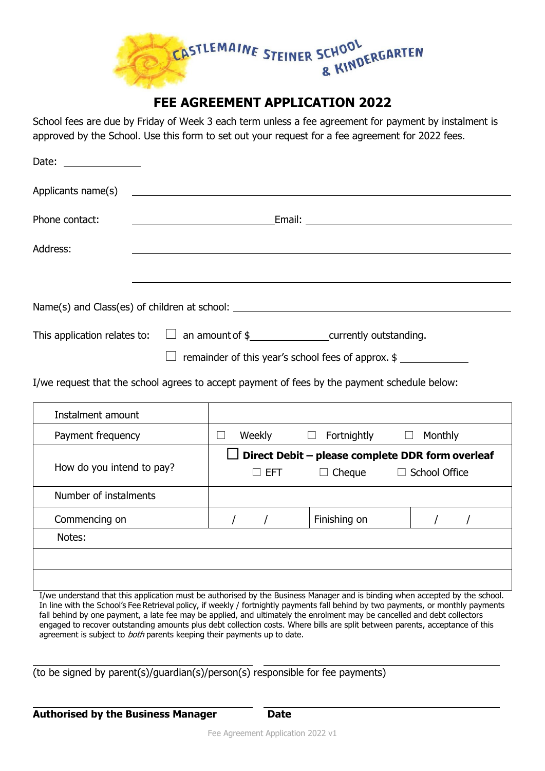

## **FEE AGREEMENT APPLICATION 2022**

School fees are due by Friday of Week 3 each term unless a fee agreement for payment by instalment is approved by the School. Use this form to set out your request for a fee agreement for 2022 fees.

| Date: $\frac{1}{\sqrt{1-\frac{1}{2}}}\frac{1}{\sqrt{1-\frac{1}{2}}}\frac{1}{\sqrt{1-\frac{1}{2}}}\frac{1}{\sqrt{1-\frac{1}{2}}}\frac{1}{\sqrt{1-\frac{1}{2}}}\frac{1}{\sqrt{1-\frac{1}{2}}}\frac{1}{\sqrt{1-\frac{1}{2}}}\frac{1}{\sqrt{1-\frac{1}{2}}}\frac{1}{\sqrt{1-\frac{1}{2}}}\frac{1}{\sqrt{1-\frac{1}{2}}}\frac{1}{\sqrt{1-\frac{1}{2}}}\frac{1}{\sqrt{1-\frac{1}{2}}}\frac{1}{\sqrt{1-\frac{1}{2}}}\frac{1}{\$ |                                                                                                                                                                          |  |  |  |  |
|--------------------------------------------------------------------------------------------------------------------------------------------------------------------------------------------------------------------------------------------------------------------------------------------------------------------------------------------------------------------------------------------------------------------------|--------------------------------------------------------------------------------------------------------------------------------------------------------------------------|--|--|--|--|
|                                                                                                                                                                                                                                                                                                                                                                                                                          |                                                                                                                                                                          |  |  |  |  |
| Phone contact:                                                                                                                                                                                                                                                                                                                                                                                                           | <u> 1980 - Andrea Andrew Maria (h. 1980).</u>                                                                                                                            |  |  |  |  |
| Address:                                                                                                                                                                                                                                                                                                                                                                                                                 | ,我们也不会有什么。""我们的人,我们也不会有什么?""我们的人,我们也不会有什么?""我们的人,我们也不会有什么?""我们的人,我们也不会有什么?""我们的人                                                                                         |  |  |  |  |
|                                                                                                                                                                                                                                                                                                                                                                                                                          |                                                                                                                                                                          |  |  |  |  |
|                                                                                                                                                                                                                                                                                                                                                                                                                          |                                                                                                                                                                          |  |  |  |  |
|                                                                                                                                                                                                                                                                                                                                                                                                                          | This application relates to: $\Box$ an amount of $\frac{1}{2}$ example 20 currently outstanding.<br>$\Box$ remainder of this year's school fees of approx. $\frac{1}{2}$ |  |  |  |  |
| I/we request that the school agrees to accept payment of fees by the payment schedule below:                                                                                                                                                                                                                                                                                                                             |                                                                                                                                                                          |  |  |  |  |

| Instalment amount         |                                                         |                             |                         |  |  |
|---------------------------|---------------------------------------------------------|-----------------------------|-------------------------|--|--|
| Payment frequency         | Weekly                                                  | Fortnightly<br>$\mathbf{L}$ | Monthly<br>$\mathbf{L}$ |  |  |
|                           | $\Box$ Direct Debit – please complete DDR form overleaf |                             |                         |  |  |
| How do you intend to pay? | $\Box$ Cheque<br>EFT                                    |                             | $\Box$ School Office    |  |  |
| Number of instalments     |                                                         |                             |                         |  |  |
| Commencing on             |                                                         | Finishing on                |                         |  |  |
| Notes:                    |                                                         |                             |                         |  |  |
|                           |                                                         |                             |                         |  |  |
|                           |                                                         |                             |                         |  |  |

I/we understand that this application must be authorised by the Business Manager and is binding when accepted by the school. In line with the School's Fee Retrieval policy, if weekly / fortnightly payments fall behind by two payments, or monthly payments fall behind by one payment, a late fee may be applied, and ultimately the enrolment may be cancelled and debt collectors engaged to recover outstanding amounts plus debt collection costs. Where bills are split between parents, acceptance of this agreement is subject to both parents keeping their payments up to date.

(to be signed by parent(s)/guardian(s)/person(s) responsible for fee payments)